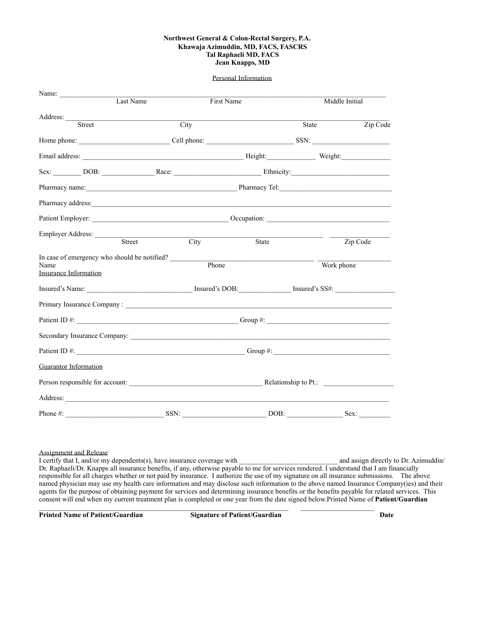#### **Northwest General & Colon-Rectal Surgery, P.A. Khawaja Azimuddin, MD, FACS, FASCRS Tal Raphaeli MD, FACS Jean Knapps, MD**

#### Personal Information

| Name: $\_\_$                                                                                                                                                                                                                         |      |            |       |                |          |
|--------------------------------------------------------------------------------------------------------------------------------------------------------------------------------------------------------------------------------------|------|------------|-------|----------------|----------|
| Last Name                                                                                                                                                                                                                            |      | First Name |       | Middle Initial |          |
|                                                                                                                                                                                                                                      |      |            |       |                |          |
| Street                                                                                                                                                                                                                               | City |            |       | State          | Zip Code |
|                                                                                                                                                                                                                                      |      |            |       |                |          |
|                                                                                                                                                                                                                                      |      |            |       |                |          |
| Sex: DOB: Race: Race: Ethnicity:                                                                                                                                                                                                     |      |            |       |                |          |
| Pharmacy name: <u>contract and a pharmacy contract of the Pharmacy Tel:</u>                                                                                                                                                          |      |            |       |                |          |
| Pharmacy address: <u>contract the contract of the contract of the contract of the contract of the contract of the contract of the contract of the contract of the contract of the contract of the contract of the contract of th</u> |      |            |       |                |          |
|                                                                                                                                                                                                                                      |      |            |       |                |          |
| Employer Address: _________                                                                                                                                                                                                          |      |            |       |                |          |
| Street                                                                                                                                                                                                                               |      | City       | State |                | Zip Code |
|                                                                                                                                                                                                                                      |      |            |       |                |          |
| Name<br><b>Insurance Information</b>                                                                                                                                                                                                 |      | Phone      |       | Work phone     |          |
|                                                                                                                                                                                                                                      |      |            |       |                |          |
| Insured's Name: Insured's DOB: Insured's SS#:                                                                                                                                                                                        |      |            |       |                |          |
|                                                                                                                                                                                                                                      |      |            |       |                |          |
|                                                                                                                                                                                                                                      |      |            |       |                |          |
| Secondary Insurance Company:                                                                                                                                                                                                         |      |            |       |                |          |
|                                                                                                                                                                                                                                      |      |            |       |                |          |
| <b>Guarantor Information</b>                                                                                                                                                                                                         |      |            |       |                |          |
|                                                                                                                                                                                                                                      |      |            |       |                |          |
|                                                                                                                                                                                                                                      |      |            |       |                |          |
| Phone#:                                                                                                                                                                                                                              | SSN: |            | DOB:  |                | Sex:     |

#### Assignment and Release

I certify that I, and/or my dependents(s), have insurance coverage with \_\_\_\_\_\_\_\_\_\_\_\_\_\_\_\_\_\_\_\_\_\_\_\_\_\_\_\_ and assign directly to Dr. Azimuddin/ Dr. Raphaeli/Dr. Knapps all insurance benefits, if any, otherwise payable to me for services rendered. I understand that I am financially responsible for all charges whether or not paid by insurance. I authorize the use of my signature on all insurance submissions. The above named physician may use my health care information and may disclose such information to the above named Insurance Company(ies) and their agents for the purpose of obtaining payment for services and determining insurance benefits or the benefits payable for related services. This consent will end when my current treatment plan is completed or one year from the date signed below.Printed Name of **Patient/Guardian**

**Printed Name of Patient/Guardian Signature of Patient/Guardian Date Date Date**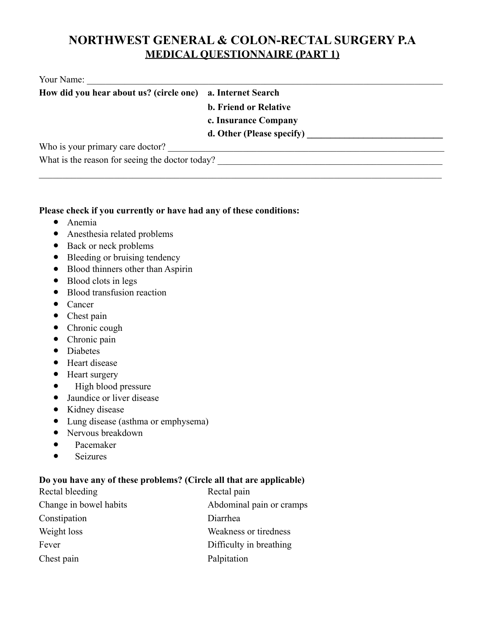## **NORTHWEST GENERAL & COLON-RECTAL SURGERY P.A MEDICAL QUESTIONNAIRE (PART 1)**

| Your Name: |
|------------|
|------------|

| How did you hear about us? (circle one) a. Internet Search |                              |
|------------------------------------------------------------|------------------------------|
|                                                            | <b>b. Friend or Relative</b> |
|                                                            | c. Insurance Company         |
|                                                            | d. Other (Please specify)    |
| Who is your primary care doctor?                           |                              |
| What is the reason for seeing the doctor today?            |                              |
|                                                            |                              |

#### **Please check if you currently or have had any of these conditions:**

- Anemia
- Anesthesia related problems
- Back or neck problems
- Bleeding or bruising tendency
- Blood thinners other than Aspirin
- Blood clots in legs
- Blood transfusion reaction
- Cancer
- Chest pain
- Chronic cough
- Chronic pain
- Diabetes
- Heart disease
- Heart surgery
- High blood pressure
- Jaundice or liver disease
- Kidney disease
- Lung disease (asthma or emphysema)
- Nervous breakdown
- Pacemaker
- Seizures

### **Do you have any of these problems? (Circle all that are applicable)**

| Rectal bleeding        | Rectal pain              |
|------------------------|--------------------------|
| Change in bowel habits | Abdominal pain or cramps |
| Constipation           | Diarrhea                 |
| Weight loss            | Weakness or tiredness    |
| Fever                  | Difficulty in breathing  |
| Chest pain             | Palpitation              |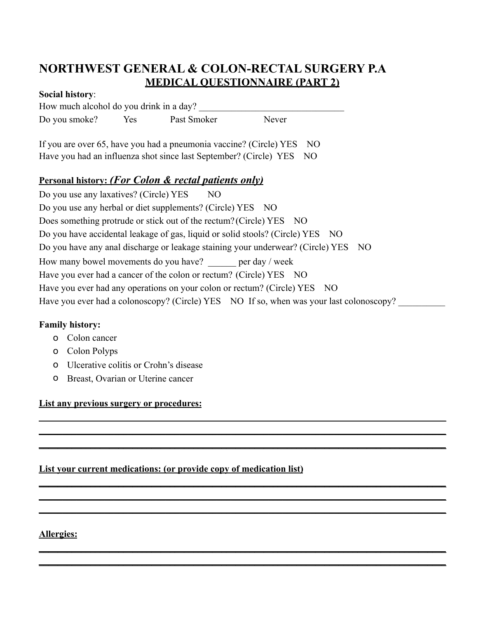## **NORTHWEST GENERAL & COLON-RECTAL SURGERY P.A MEDICAL QUESTIONNAIRE (PART 2)**

#### **Social history**:

How much alcohol do you drink in a day? Do you smoke? Yes Past Smoker Never

If you are over 65, have you had a pneumonia vaccine? (Circle) YES NO Have you had an influenza shot since last September? (Circle) YES NO

### **Personal history:** *(For Colon & rectal patients only)*

Do you use any laxatives? (Circle) YES NO Do you use any herbal or diet supplements? (Circle) YES NO Does something protrude or stick out of the rectum? (Circle) YES NO Do you have accidental leakage of gas, liquid or solid stools? (Circle) YES NO Do you have any anal discharge or leakage staining your underwear? (Circle) YES NO How many bowel movements do you have? \_\_\_\_\_\_ per day / week Have you ever had a cancer of the colon or rectum? (Circle) YES NO Have you ever had any operations on your colon or rectum? (Circle) YES NO Have you ever had a colonoscopy? (Circle) YES NO If so, when was your last colonoscopy?

**\_\_\_\_\_\_\_\_\_\_\_\_\_\_\_\_\_\_\_\_\_\_\_\_\_\_\_\_\_\_\_\_\_\_\_\_\_\_\_\_\_\_\_\_\_\_\_\_\_\_\_\_\_\_\_\_\_\_\_\_\_\_\_\_\_\_\_\_\_\_\_\_\_\_\_\_\_\_\_\_\_\_\_\_\_\_\_ \_\_\_\_\_\_\_\_\_\_\_\_\_\_\_\_\_\_\_\_\_\_\_\_\_\_\_\_\_\_\_\_\_\_\_\_\_\_\_\_\_\_\_\_\_\_\_\_\_\_\_\_\_\_\_\_\_\_\_\_\_\_\_\_\_\_\_\_\_\_\_\_\_\_\_\_\_\_\_\_\_\_\_\_\_\_\_ \_\_\_\_\_\_\_\_\_\_\_\_\_\_\_\_\_\_\_\_\_\_\_\_\_\_\_\_\_\_\_\_\_\_\_\_\_\_\_\_\_\_\_\_\_\_\_\_\_\_\_\_\_\_\_\_\_\_\_\_\_\_\_\_\_\_\_\_\_\_\_\_\_\_\_\_\_\_\_\_\_\_\_\_\_\_\_**

**\_\_\_\_\_\_\_\_\_\_\_\_\_\_\_\_\_\_\_\_\_\_\_\_\_\_\_\_\_\_\_\_\_\_\_\_\_\_\_\_\_\_\_\_\_\_\_\_\_\_\_\_\_\_\_\_\_\_\_\_\_\_\_\_\_\_\_\_\_\_\_\_\_\_\_\_\_\_\_\_\_\_\_\_\_\_\_ \_\_\_\_\_\_\_\_\_\_\_\_\_\_\_\_\_\_\_\_\_\_\_\_\_\_\_\_\_\_\_\_\_\_\_\_\_\_\_\_\_\_\_\_\_\_\_\_\_\_\_\_\_\_\_\_\_\_\_\_\_\_\_\_\_\_\_\_\_\_\_\_\_\_\_\_\_\_\_\_\_\_\_\_\_\_\_ \_\_\_\_\_\_\_\_\_\_\_\_\_\_\_\_\_\_\_\_\_\_\_\_\_\_\_\_\_\_\_\_\_\_\_\_\_\_\_\_\_\_\_\_\_\_\_\_\_\_\_\_\_\_\_\_\_\_\_\_\_\_\_\_\_\_\_\_\_\_\_\_\_\_\_\_\_\_\_\_\_\_\_\_\_\_\_**

**\_\_\_\_\_\_\_\_\_\_\_\_\_\_\_\_\_\_\_\_\_\_\_\_\_\_\_\_\_\_\_\_\_\_\_\_\_\_\_\_\_\_\_\_\_\_\_\_\_\_\_\_\_\_\_\_\_\_\_\_\_\_\_\_\_\_\_\_\_\_\_\_\_\_\_\_\_\_\_\_\_\_\_\_\_\_\_ \_\_\_\_\_\_\_\_\_\_\_\_\_\_\_\_\_\_\_\_\_\_\_\_\_\_\_\_\_\_\_\_\_\_\_\_\_\_\_\_\_\_\_\_\_\_\_\_\_\_\_\_\_\_\_\_\_\_\_\_\_\_\_\_\_\_\_\_\_\_\_\_\_\_\_\_\_\_\_\_\_\_\_\_\_\_\_**

### **Family history:**

- o Colon cancer
- o Colon Polyps
- o Ulcerative colitis or Crohn's disease
- o Breast, Ovarian or Uterine cancer

### **List any previous surgery or procedures:**

### **List your current medications: (or provide copy of medication list)**

**Allergies:**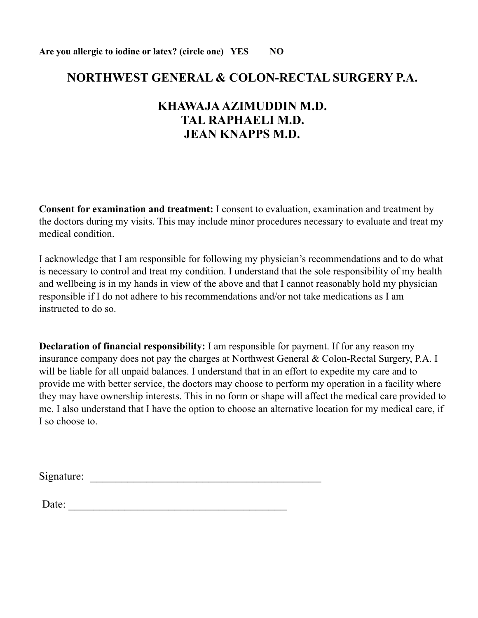## **NORTHWEST GENERAL & COLON-RECTAL SURGERY P.A.**

## **KHAWAJA AZIMUDDIN M.D. TAL RAPHAELI M.D. JEAN KNAPPS M.D.**

**Consent for examination and treatment:** I consent to evaluation, examination and treatment by the doctors during my visits. This may include minor procedures necessary to evaluate and treat my medical condition.

I acknowledge that I am responsible for following my physician's recommendations and to do what is necessary to control and treat my condition. I understand that the sole responsibility of my health and wellbeing is in my hands in view of the above and that I cannot reasonably hold my physician responsible if I do not adhere to his recommendations and/or not take medications as I am instructed to do so.

**Declaration of financial responsibility:** I am responsible for payment. If for any reason my insurance company does not pay the charges at Northwest General & Colon-Rectal Surgery, P.A. I will be liable for all unpaid balances. I understand that in an effort to expedite my care and to provide me with better service, the doctors may choose to perform my operation in a facility where they may have ownership interests. This in no form or shape will affect the medical care provided to me. I also understand that I have the option to choose an alternative location for my medical care, if I so choose to.

Signature: \_\_\_\_\_\_\_\_\_\_\_\_\_\_\_\_\_\_\_\_\_\_\_\_\_\_\_\_\_\_\_\_\_\_\_\_\_

Date: \_\_\_\_\_\_\_\_\_\_\_\_\_\_\_\_\_\_\_\_\_\_\_\_\_\_\_\_\_\_\_\_\_\_\_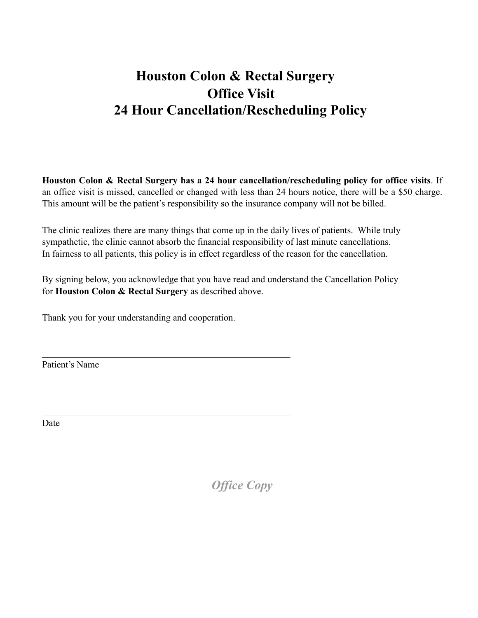# **Houston Colon & Rectal Surgery Office Visit 24 Hour Cancellation/Rescheduling Policy**

**Houston Colon & Rectal Surgery has a 24 hour cancellation/rescheduling policy for office visits**. If an office visit is missed, cancelled or changed with less than 24 hours notice, there will be a \$50 charge. This amount will be the patient's responsibility so the insurance company will not be billed.

The clinic realizes there are many things that come up in the daily lives of patients. While truly sympathetic, the clinic cannot absorb the financial responsibility of last minute cancellations. In fairness to all patients, this policy is in effect regardless of the reason for the cancellation.

By signing below, you acknowledge that you have read and understand the Cancellation Policy for **Houston Colon & Rectal Surgery** as described above.

Thank you for your understanding and cooperation.

 $\mathcal{L}_\text{max}$  , and the contract of the contract of the contract of the contract of the contract of the contract of the contract of the contract of the contract of the contract of the contract of the contract of the contr

 $\mathcal{L}_\text{max}$  , and the contract of the contract of the contract of the contract of the contract of the contract of the contract of the contract of the contract of the contract of the contract of the contract of the contr

Patient's Name

Date

*Office Copy*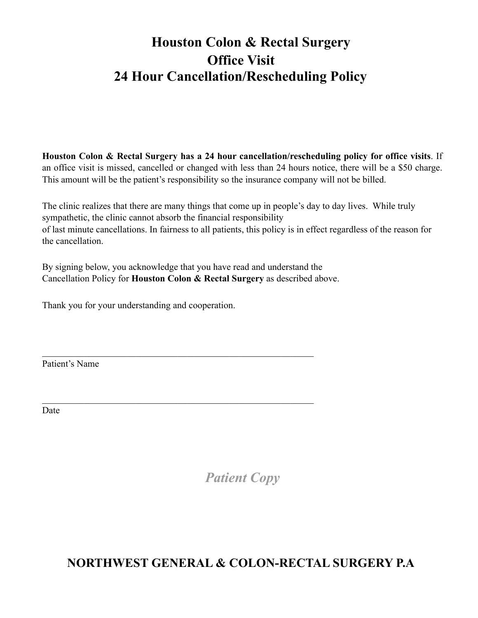# **Houston Colon & Rectal Surgery Office Visit 24 Hour Cancellation/Rescheduling Policy**

**Houston Colon & Rectal Surgery has a 24 hour cancellation/rescheduling policy for office visits**. If an office visit is missed, cancelled or changed with less than 24 hours notice, there will be a \$50 charge. This amount will be the patient's responsibility so the insurance company will not be billed.

The clinic realizes that there are many things that come up in people's day to day lives. While truly sympathetic, the clinic cannot absorb the financial responsibility of last minute cancellations. In fairness to all patients, this policy is in effect regardless of the reason for the cancellation.

By signing below, you acknowledge that you have read and understand the Cancellation Policy for **Houston Colon & Rectal Surgery** as described above.

 $\mathcal{L}_\text{max}$  , and the contribution of the contribution of the contribution of the contribution of the contribution of the contribution of the contribution of the contribution of the contribution of the contribution of t

 $\mathcal{L}_\text{max}$  , and the contribution of the contribution of the contribution of the contribution of the contribution of the contribution of the contribution of the contribution of the contribution of the contribution of t

Thank you for your understanding and cooperation.

Patient's Name

Date

*Patient Copy*

**NORTHWEST GENERAL & COLON-RECTAL SURGERY P.A**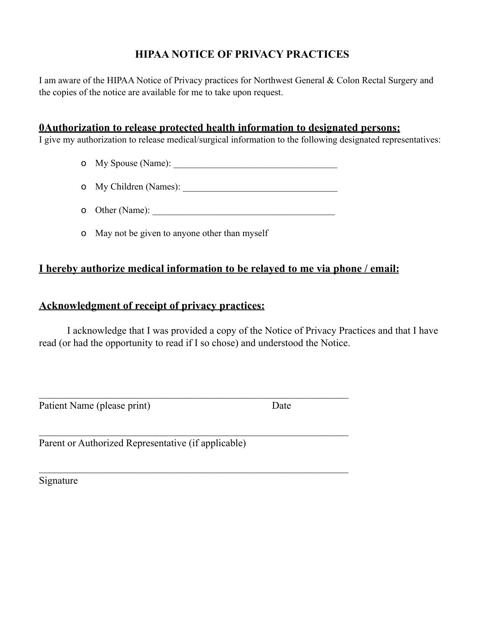### **HIPAA NOTICE OF PRIVACY PRACTICES**

I am aware of the HIPAA Notice of Privacy practices for Northwest General & Colon Rectal Surgery and the copies of the notice are available for me to take upon request.

### **0Authorization to release protected health information to designated persons:**

I give my authorization to release medical/surgical information to the following designated representatives:

o My Spouse (Name): \_\_\_\_\_\_\_\_\_\_\_\_\_\_\_\_\_\_\_\_\_\_\_\_\_\_\_\_\_\_\_\_\_\_\_

o My Children (Names):

o Other (Name):

 $\mathcal{L}_\text{max} = \mathcal{L}_\text{max} = \mathcal{L}_\text{max} = \mathcal{L}_\text{max} = \mathcal{L}_\text{max} = \mathcal{L}_\text{max} = \mathcal{L}_\text{max} = \mathcal{L}_\text{max} = \mathcal{L}_\text{max} = \mathcal{L}_\text{max} = \mathcal{L}_\text{max} = \mathcal{L}_\text{max} = \mathcal{L}_\text{max} = \mathcal{L}_\text{max} = \mathcal{L}_\text{max} = \mathcal{L}_\text{max} = \mathcal{L}_\text{max} = \mathcal{L}_\text{max} = \mathcal{$ 

 $\mathcal{L}_\text{max} = \mathcal{L}_\text{max} = \mathcal{L}_\text{max} = \mathcal{L}_\text{max} = \mathcal{L}_\text{max} = \mathcal{L}_\text{max} = \mathcal{L}_\text{max} = \mathcal{L}_\text{max} = \mathcal{L}_\text{max} = \mathcal{L}_\text{max} = \mathcal{L}_\text{max} = \mathcal{L}_\text{max} = \mathcal{L}_\text{max} = \mathcal{L}_\text{max} = \mathcal{L}_\text{max} = \mathcal{L}_\text{max} = \mathcal{L}_\text{max} = \mathcal{L}_\text{max} = \mathcal{$ 

 $\mathcal{L}_\text{max} = \mathcal{L}_\text{max} = \mathcal{L}_\text{max} = \mathcal{L}_\text{max} = \mathcal{L}_\text{max} = \mathcal{L}_\text{max} = \mathcal{L}_\text{max} = \mathcal{L}_\text{max} = \mathcal{L}_\text{max} = \mathcal{L}_\text{max} = \mathcal{L}_\text{max} = \mathcal{L}_\text{max} = \mathcal{L}_\text{max} = \mathcal{L}_\text{max} = \mathcal{L}_\text{max} = \mathcal{L}_\text{max} = \mathcal{L}_\text{max} = \mathcal{L}_\text{max} = \mathcal{$ 

o May not be given to anyone other than myself

### **I hereby authorize medical information to be relayed to me via phone / email:**

### **Acknowledgment of receipt of privacy practices:**

 I acknowledge that I was provided a copy of the Notice of Privacy Practices and that I have read (or had the opportunity to read if I so chose) and understood the Notice.

Patient Name (please print) Date

Parent or Authorized Representative (if applicable)

Signature